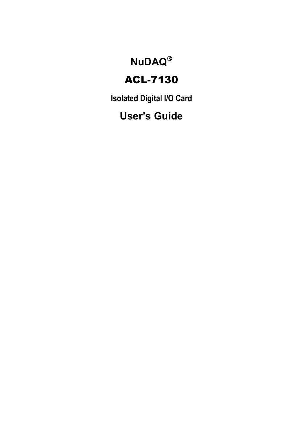## **NuDAQ**®

## ACL-7130

**Isolated Digital I/O Card** 

## **User's Guide**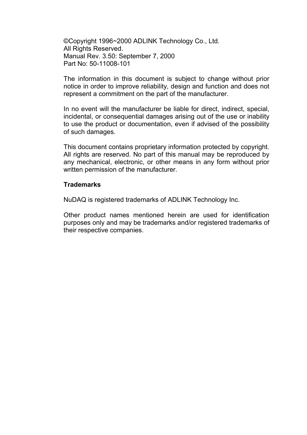©Copyright 1996~2000 ADLINK Technology Co., Ltd. All Rights Reserved. Manual Rev. 3.50: September 7, 2000 Part No: 50-11008-101

The information in this document is subject to change without prior notice in order to improve reliability, design and function and does not represent a commitment on the part of the manufacturer.

In no event will the manufacturer be liable for direct, indirect, special, incidental, or consequential damages arising out of the use or inability to use the product or documentation, even if advised of the possibility of such damages.

This document contains proprietary information protected by copyright. All rights are reserved. No part of this manual may be reproduced by any mechanical, electronic, or other means in any form without prior written permission of the manufacturer.

#### **Trademarks**

NuDAQ is registered trademarks of ADLINK Technology Inc.

Other product names mentioned herein are used for identification purposes only and may be trademarks and/or registered trademarks of their respective companies.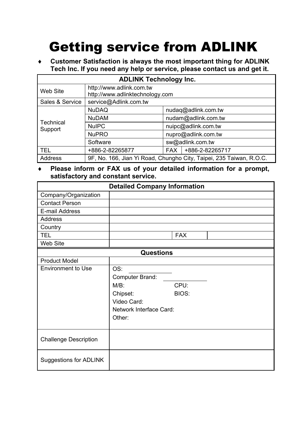# Getting service from ADLINK

♦ **Customer Satisfaction is always the most important thing for ADLINK Tech Inc. If you need any help or service, please contact us and get it.** 

| <b>ADLINK Technology Inc.</b> |                                                             |                     |                                                                     |  |  |  |
|-------------------------------|-------------------------------------------------------------|---------------------|---------------------------------------------------------------------|--|--|--|
| Web Site                      | http://www.adlink.com.tw<br>http://www.adlinktechnology.com |                     |                                                                     |  |  |  |
| Sales & Service               | service@Adlink.com.tw                                       |                     |                                                                     |  |  |  |
|                               | <b>NuDAQ</b>                                                | nudag@adlink.com.tw |                                                                     |  |  |  |
|                               | <b>NuDAM</b>                                                | nudam@adlink.com.tw |                                                                     |  |  |  |
| Technical<br>Support          | <b>NuIPC</b>                                                | nuipc@adlink.com.tw |                                                                     |  |  |  |
|                               | <b>NuPRO</b>                                                | nupro@adlink.com.tw |                                                                     |  |  |  |
|                               | Software                                                    | sw@adlink.com.tw    |                                                                     |  |  |  |
| <b>TEL</b>                    | +886-2-82265877                                             | <b>FAX</b>          | +886-2-82265717                                                     |  |  |  |
| Address                       |                                                             |                     | 9F, No. 166, Jian Yi Road, Chungho City, Taipei, 235 Taiwan, R.O.C. |  |  |  |

#### ♦ **Please inform or FAX us of your detailed information for a prompt, satisfactory and constant service.**

| <b>Detailed Company Information</b> |                         |            |  |  |  |  |
|-------------------------------------|-------------------------|------------|--|--|--|--|
| Company/Organization                |                         |            |  |  |  |  |
| <b>Contact Person</b>               |                         |            |  |  |  |  |
| E-mail Address                      |                         |            |  |  |  |  |
| Address                             |                         |            |  |  |  |  |
| Country                             |                         |            |  |  |  |  |
| <b>TEL</b>                          |                         | <b>FAX</b> |  |  |  |  |
| Web Site                            |                         |            |  |  |  |  |
|                                     | <b>Questions</b>        |            |  |  |  |  |
| <b>Product Model</b>                |                         |            |  |  |  |  |
| <b>Environment to Use</b>           | OS:                     |            |  |  |  |  |
|                                     | Computer Brand:         |            |  |  |  |  |
|                                     | $M/B$ :                 | CPU:       |  |  |  |  |
|                                     | Chipset:                | BIOS:      |  |  |  |  |
|                                     | Video Card:             |            |  |  |  |  |
|                                     | Network Interface Card: |            |  |  |  |  |
|                                     | Other:                  |            |  |  |  |  |
|                                     |                         |            |  |  |  |  |
|                                     |                         |            |  |  |  |  |
| <b>Challenge Description</b>        |                         |            |  |  |  |  |
| Suggestions for ADLINK              |                         |            |  |  |  |  |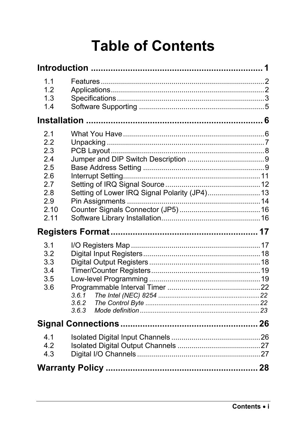# **Table of Contents**

| 1.1<br>1.2<br>1.3<br>1.4                                                    |                                               |  |
|-----------------------------------------------------------------------------|-----------------------------------------------|--|
|                                                                             |                                               |  |
| 2.1<br>2.2<br>2.3<br>2.4<br>2.5<br>2.6<br>2.7<br>2.8<br>2.9<br>2.10<br>2.11 | Setting of Lower IRQ Signal Polarity (JP4) 13 |  |
|                                                                             |                                               |  |
| 3.1<br>3.2<br>3.3<br>3.4<br>3.5<br>3.6                                      | 3.6.1<br>3.6.2<br>3.6.3                       |  |
|                                                                             |                                               |  |
| 4.1<br>4.2<br>4.3                                                           |                                               |  |
|                                                                             |                                               |  |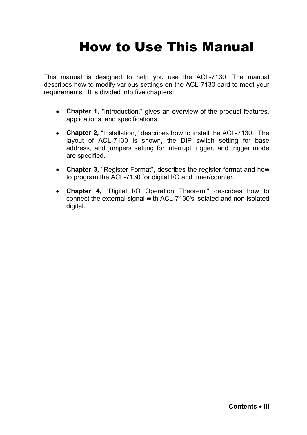# How to Use This Manual

This manual is designed to help you use the ACL-7130. The manual describes how to modify various settings on the ACL-7130 card to meet your requirements. It is divided into five chapters:

- **Chapter 1,** "Introduction," gives an overview of the product features, applications, and specifications.
- **Chapter 2,** "Installation," describes how to install the ACL-7130. The layout of ACL-7130 is shown, the DIP switch setting for base address, and jumpers setting for interrupt trigger, and trigger mode are specified.
- **Chapter 3,** "Register Format", describes the register format and how to program the ACL-7130 for digital I/O and timer/counter.
- **Chapter 4,** "Digital I/O Operation Theorem," describes how to connect the external signal with ACL-7130's isolated and non-isolated digital.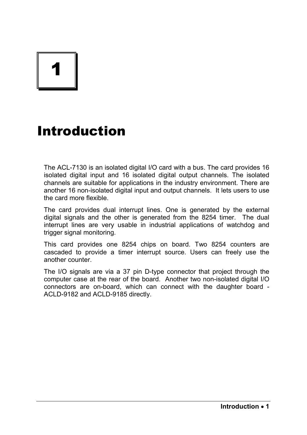# 1

## Introduction

The ACL-7130 is an isolated digital I/O card with a bus. The card provides 16 isolated digital input and 16 isolated digital output channels. The isolated channels are suitable for applications in the industry environment. There are another 16 non-isolated digital input and output channels. It lets users to use the card more flexible.

The card provides dual interrupt lines. One is generated by the external digital signals and the other is generated from the 8254 timer. The dual interrupt lines are very usable in industrial applications of watchdog and trigger signal monitoring.

This card provides one 8254 chips on board. Two 8254 counters are cascaded to provide a timer interrupt source. Users can freely use the another counter.

The I/O signals are via a 37 pin D-type connector that project through the computer case at the rear of the board. Another two non-isolated digital I/O connectors are on-board, which can connect with the daughter board - ACLD-9182 and ACLD-9185 directly.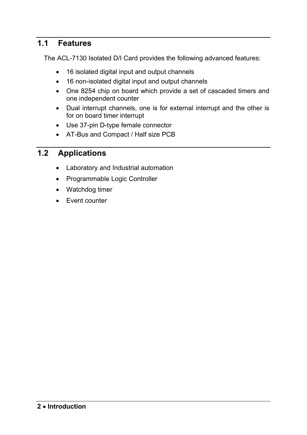#### **1.1 Features**

The ACL-7130 Isolated D/I Card provides the following advanced features:

- 16 isolated digital input and output channels
- 16 non-isolated digital input and output channels
- One 8254 chip on board which provide a set of cascaded timers and one independent counter
- Dual interrupt channels, one is for external interrupt and the other is for on board timer interrupt
- Use 37-pin D-type female connector
- AT-Bus and Compact / Half size PCB

#### **1.2 Applications**

- Laboratory and Industrial automation
- Programmable Logic Controller
- Watchdog timer
- Event counter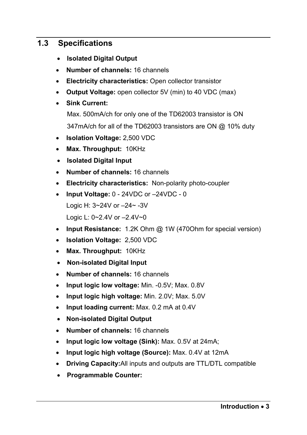#### **1.3 Specifications**

- • **Isolated Digital Output**
- **Number of channels:** 16 channels
- **Electricity characteristics:** Open collector transistor
- **Output Voltage:** open collector 5V (min) to 40 VDC (max)
- **Sink Current:** 
	- Max. 500mA/ch for only one of the TD62003 transistor is ON

347mA/ch for all of the TD62003 transistors are ON @ 10% duty

- **Isolation Voltage:** 2,500 VDC
- **Max. Throughput:** 10KHz
- • **Isolated Digital Input**
- **Number of channels:** 16 channels
- **Electricity characteristics:** Non-polarity photo-coupler
- **Input Voltage:** 0 24VDC or –24VDC 0 Logic H: 3~24V or –24~ -3V Logic L: 0~2.4V or –2.4V~0
- **Input Resistance:** 1.2K Ohm @ 1W (470Ohm for special version)
- **Isolation Voltage:** 2,500 VDC
- **Max. Throughput:** 10KHz
- • **Non-isolated Digital Input**
- **Number of channels:** 16 channels
- **Input logic low voltage:** Min. -0.5V; Max. 0.8V
- **Input logic high voltage:** Min. 2.0V; Max. 5.0V
- **Input loading current:** Max. 0.2 mA at 0.4V
- **Non-isolated Digital Output**
- **Number of channels:** 16 channels
- **Input logic low voltage (Sink):** Max. 0.5V at 24mA;
- **Input logic high voltage (Source):** Max. 0.4V at 12mA
- **Driving Capacity:**All inputs and outputs are TTL/DTL compatible
- • **Programmable Counter:**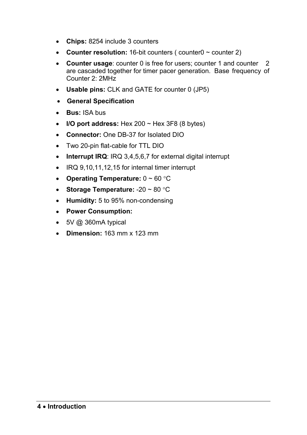- **Chips:** 8254 include 3 counters
- **Counter resolution:** 16-bit counters ( counter0 ~ counter 2)
- **Counter usage**: counter 0 is free for users; counter 1 and counter 2 are cascaded together for timer pacer generation. Base frequency of Counter 2: 2MHz
- **Usable pins:** CLK and GATE for counter 0 (JP5)
- • **General Specification**
- **Bus:** ISA bus
- $\bullet$  **I/O port address:** Hex 200  $\sim$  Hex 3F8 (8 bytes)
- **Connector:** One DB-37 for Isolated DIO
- Two 20-pin flat-cable for TTL DIO
- **Interrupt IRQ**: IRQ 3,4,5,6,7 for external digital interrupt
- IRQ 9,10,11,12,15 for internal timer interrupt
- **Operating Temperature:** 0 ~ 60 °C
- **Storage Temperature:** -20 ~ 80 °C
- **Humidity:** 5 to 95% non-condensing
- **Power Consumption:**
- 5V @ 360mA typical
- **Dimension:** 163 mm x 123 mm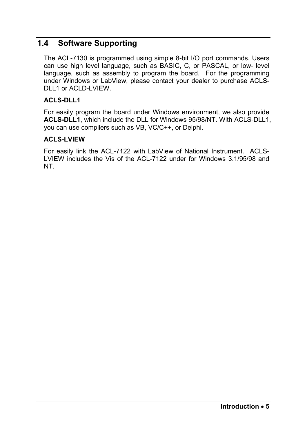#### **1.4 Software Supporting**

The ACL-7130 is programmed using simple 8-bit I/O port commands. Users can use high level language, such as BASIC, C, or PASCAL, or low- level language, such as assembly to program the board. For the programming under Windows or LabView, please contact your dealer to purchase ACLS-DLL1 or ACLD-LVIEW.

#### **ACLS-DLL1**

For easily program the board under Windows environment, we also provide **ACLS-DLL1**, which include the DLL for Windows 95/98/NT. With ACLS-DLL1, you can use compilers such as VB, VC/C++, or Delphi.

#### **ACLS-LVIEW**

For easily link the ACL-7122 with LabView of National Instrument. ACLS-LVIEW includes the Vis of the ACL-7122 under for Windows 3.1/95/98 and NT.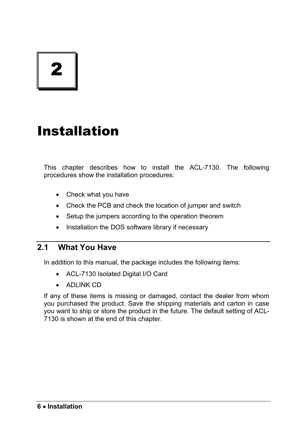2

# Installation

This chapter describes how to install the ACL-7130. The following procedures show the installation procedures:

- Check what you have
- Check the PCB and check the location of jumper and switch
- Setup the jumpers according to the operation theorem
- Installation the DOS software library if necessary

#### **2.1 What You Have**

In addition to this manual, the package includes the following items:

- ACL-7130 Isolated Digital I/O Card
- ADLINK CD

If any of these items is missing or damaged, contact the dealer from whom you purchased the product. Save the shipping materials and carton in case you want to ship or store the product in the future. The default setting of ACL-7130 is shown at the end of this chapter.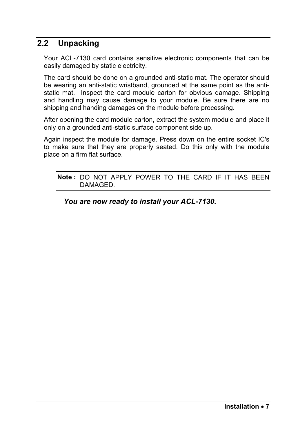#### **2.2 Unpacking**

Your ACL-7130 card contains sensitive electronic components that can be easily damaged by static electricity.

The card should be done on a grounded anti-static mat. The operator should be wearing an anti-static wristband, grounded at the same point as the antistatic mat. Inspect the card module carton for obvious damage. Shipping and handling may cause damage to your module. Be sure there are no shipping and handing damages on the module before processing.

After opening the card module carton, extract the system module and place it only on a grounded anti-static surface component side up.

Again inspect the module for damage. Press down on the entire socket IC's to make sure that they are properly seated. Do this only with the module place on a firm flat surface.

#### **Note :** DO NOT APPLY POWER TO THE CARD IF IT HAS BEEN DAMAGED.

*You are now ready to install your ACL-7130.*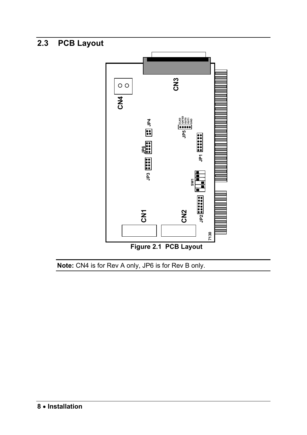### **2.3 PCB Layout**



**Note:** CN4 is for Rev A only, JP6 is for Rev B only.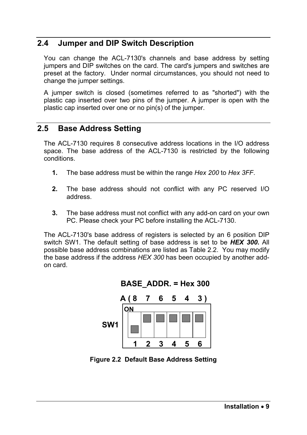#### **2.4 Jumper and DIP Switch Description**

You can change the ACL-7130's channels and base address by setting jumpers and DIP switches on the card. The card's jumpers and switches are preset at the factory. Under normal circumstances, you should not need to change the jumper settings.

A jumper switch is closed (sometimes referred to as "shorted") with the plastic cap inserted over two pins of the jumper. A jumper is open with the plastic cap inserted over one or no pin(s) of the jumper.

#### **2.5 Base Address Setting**

The ACL-7130 requires 8 consecutive address locations in the I/O address space. The base address of the ACL-7130 is restricted by the following conditions.

- **1.** The base address must be within the range *Hex 200* to *Hex 3FF*.
- **2.** The base address should not conflict with any PC reserved I/O address.
- **3.** The base address must not conflict with any add-on card on your own PC. Please check your PC before installing the ACL-7130.

The ACL-7130's base address of registers is selected by an 6 position DIP switch SW1. The default setting of base address is set to be *HEX 300***.** All possible base address combinations are listed as Table 2.2. You may modify the base address if the address *HEX 300* has been occupied by another addon card.



**BASE\_ADDR. = Hex 300**

**Figure 2.2 Default Base Address Setting**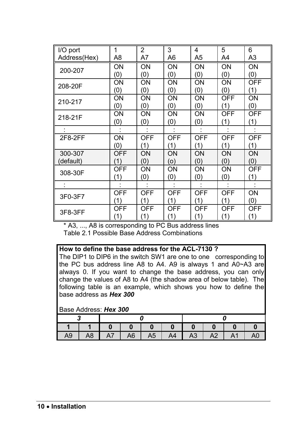| I/O port     | 1          | $\overline{2}$ | 3          | 4          | 5          | 6          |
|--------------|------------|----------------|------------|------------|------------|------------|
| Address(Hex) | A8         | A7             | A6         | A5         | A4         | A3         |
| 200-207      | ON         | ON             | ON         | ON         | ON         | ON         |
|              | (0)        | (0)            | (0)        | (0)        | (0)        | (0)        |
| 208-20F      | ΟN         | OΝ             | ON         | OΝ         | ΟN         | <b>OFF</b> |
|              | (0)        | (0)            | (0)        | (0)        | (0)        | (1)        |
| 210-217      | ON         | OΝ             | ON         | OΝ         | <b>OFF</b> | OΝ         |
|              | (0)        | (0)            | (0)        | (0)        | (1)        | (0)        |
| 218-21F      | ΟN         | OΝ             | ON         | OΝ         | <b>OFF</b> | <b>OFF</b> |
|              | (0)        | (0)            | (0)        | (0)        | (1)        | (1)        |
|              |            |                |            |            |            |            |
| 2F8-2FF      | ΟN         | <b>OFF</b>     | <b>OFF</b> | <b>OFF</b> | <b>OFF</b> | <b>OFF</b> |
|              | (0)        | (1)            | (1)        | (1)        | (1)        | (1)        |
| 300-307      | <b>OFF</b> | ΟN             | ΟN         | OΝ         | ΟN         | ON         |
| (default)    | (1)        | (0)            | (o)        | (0)        | (0)        | (0)        |
| 308-30F      | <b>OFF</b> | OΝ             | ON         | ON         | ΟN         | <b>OFF</b> |
|              | (1)        | (0)            | (0)        | (0)        | (0)        | (1)        |
|              |            |                |            |            |            |            |
| 3F0-3F7      | <b>OFF</b> | <b>OFF</b>     | <b>OFF</b> | <b>OFF</b> | <b>OFF</b> | OΝ         |
|              | (1)        | (1)            | (1)        | (1)        | (1)        | (0)        |
| 3F8-3FF      | OFF        | OFF            | OFF        | OFF        | <b>OFF</b> | OFF        |
|              | (1)        | (1)            | (1)        | (1)        | (1)        | (1)        |

\* A3, ..., A8 is corresponding to PC Bus address lines Table 2.1 Possible Base Address Combinations

#### **How to define the base address for the ACL-7130 ?**

The DIP1 to DIP6 in the switch SW1 are one to one corresponding to the PC bus address line A8 to A4. A9 is always 1 and A0~A3 are always 0. If you want to change the base address, you can only change the values of A8 to A4 (the shadow area of below table). The following table is an example, which shows you how to define the base address as *Hex 300*

#### Base Address: *Hex 300*

| A <sub>9</sub> | A8 | A7 | A6 | A <sub>5</sub> | A4 | A <sub>3</sub> | A <sub>2</sub> | A <sub>1</sub> |  |
|----------------|----|----|----|----------------|----|----------------|----------------|----------------|--|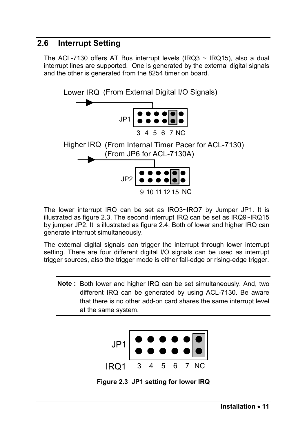#### **2.6 Interrupt Setting**

The ACL-7130 offers AT Bus interrupt levels (IRQ3  $\sim$  IRQ15), also a dual interrupt lines are supported. One is generated by the external digital signals and the other is generated from the 8254 timer on board.



The lower interrupt IRQ can be set as IRQ3~IRQ7 by Jumper JP1. It is illustrated as figure 2.3. The second interrupt IRQ can be set as IRQ9~IRQ15 by jumper JP2. It is illustrated as figure 2.4. Both of lower and higher IRQ can generate interrupt simultaneously.

The external digital signals can trigger the interrupt through lower interrupt setting. There are four different digital I/O signals can be used as interrupt trigger sources, also the trigger mode is either fall-edge or rising-edge trigger.

**Note :** Both lower and higher IRQ can be set simultaneously. And, two different IRQ can be generated by using ACL-7130. Be aware that there is no other add-on card shares the same interrupt level at the same system.



**Figure 2.3 JP1 setting for lower IRQ**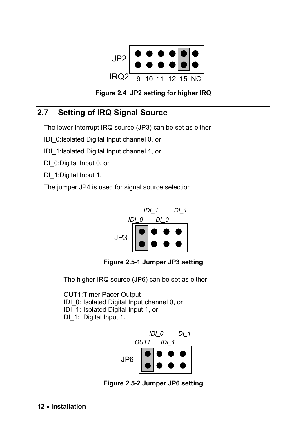



#### **2.7 Setting of IRQ Signal Source**

The lower Interrupt IRQ source (JP3) can be set as either

IDI\_0:Isolated Digital Input channel 0, or

IDI\_1:Isolated Digital Input channel 1, or

DI\_0: Digital Input 0, or

DI\_1: Digital Input 1.

The jumper JP4 is used for signal source selection.



**Figure 2.5-1 Jumper JP3 setting** 

The higher IRQ source (JP6) can be set as either

OUT1: Timer Pacer Output IDI\_0: Isolated Digital Input channel 0, or IDI\_1: Isolated Digital Input 1, or DI 1: Digital Input 1.



**Figure 2.5-2 Jumper JP6 setting**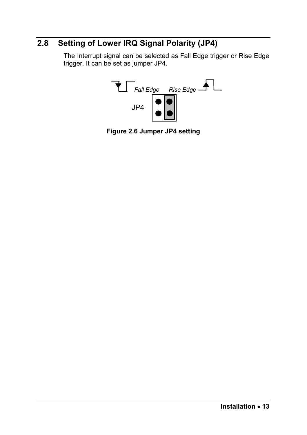#### **2.8 Setting of Lower IRQ Signal Polarity (JP4)**

The Interrupt signal can be selected as Fall Edge trigger or Rise Edge trigger. It can be set as jumper JP4.



**Figure 2.6 Jumper JP4 setting**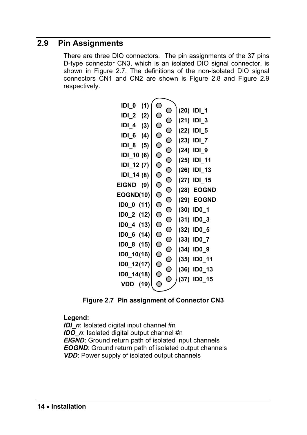#### **2.9 Pin Assignments**

There are three DIO connectors. The pin assignments of the 37 pins D-type connector CN3, which is an isolated DIO signal connector, is shown in Figure 2.7. The definitions of the non-isolated DIO signal connectors CN1 and CN2 are shown is Figure 2.8 and Figure 2.9 respectively.

| (1)<br>IDI 0    | O                            |                       |
|-----------------|------------------------------|-----------------------|
| $IDL_2$<br>(2)  | $\circ$<br>$\circ$           | (20) IDI_1            |
|                 | $\circ$                      | (21)<br>IDI 3         |
| $IDL_4$<br>(3)  | $\circ$<br>$\bigcirc$        | IDI_5<br>(22)         |
| (4)<br>IDI 6    | $\circ$<br>$\bigcirc$        | (23)<br><u>IDI_7</u>  |
| IDI 8<br>(5)    | $\circ$                      |                       |
| IDI_10 (6)      | $\circ$<br>$\circ$           | IDI_9<br>(24)         |
| IDI_12 (7)      | $\bigcirc$<br>$\circ$        | (25)<br>IDI 11        |
|                 | $\overline{O}$               | IDI_13<br>(26)        |
| IDI_14 (8)      | O<br>$\overline{\mathsf{O}}$ | <b>IDI_15</b><br>(27) |
| EIGND<br>(9)    | O<br>Ó                       | <b>EOGND</b><br>(28)  |
| EOGND(10)       | $\circ$<br>$\bigcirc$        | <b>EOGND</b><br>(29)  |
| ID0_0 (11)      | $\circ$<br>$\bigcirc$        | (30)<br><b>ID0_1</b>  |
| ID0_2 (12)      | $\circ$                      |                       |
| ID0_4 (13)      | $\overline{\mathsf{O}}$<br>O | (31)<br>ID0_3         |
| ID0_6 (14)      | $\mathsf O$<br>O             | (32)<br>ID0_5         |
|                 | $\bigcirc$                   | <b>ID0_7</b><br>(33)  |
| ID0_8 (15)      | O<br>O                       | IDO_9<br>(34)         |
| ID0_10(16)      | $\circ$<br>O                 | ID0_11<br>(35)        |
| ID0_12(17)      | $\circ$                      |                       |
| ID0_14(18)      | $\circ$<br>$\circ$           | ID0_13<br>(36)        |
| <b>VDD</b> (19) | О<br>С                       | <b>IDO 15</b><br>(37) |
|                 |                              |                       |

**Figure 2.7 Pin assignment of Connector CN3** 

#### **Legend:**

*IDI\_n*: Isolated digital input channel #n *IDO n*: Isolated digital output channel #n *EIGND*: Ground return path of isolated input channels **EOGND:** Ground return path of isolated output channels *VDD*: Power supply of isolated output channels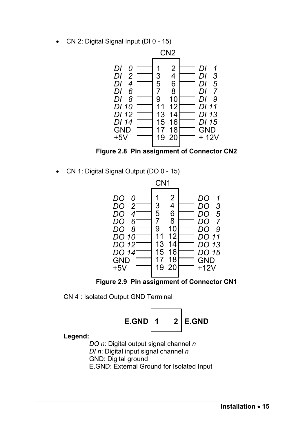• CN 2: Digital Signal Input (DI 0 - 15)



**Figure 2.8 Pin assignment of Connector CN2** 

• CN 1: Digital Signal Output (DO 0 - 15)



**Figure 2.9 Pin assignment of Connector CN1** 

CN 4 : Isolated Output GND Terminal



**Legend:** 

*DO n*: Digital output signal channel *n DI n*: Digital input signal channel *n* GND: Digital ground E.GND: External Ground for Isolated Input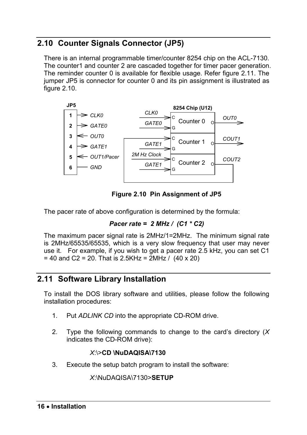#### **2.10 Counter Signals Connector (JP5)**

There is an internal programmable timer/counter 8254 chip on the ACL-7130. The counter1 and counter 2 are cascaded together for timer pacer generation. The reminder counter 0 is available for flexible usage. Refer figure 2.11. The jumper JP5 is connector for counter 0 and its pin assignment is illustrated as figure 2.10.



**Figure 2.10 Pin Assignment of JP5** 

The pacer rate of above configuration is determined by the formula:

```
Pacer rate = 2 MHz / (C1 * C2)
```
The maximum pacer signal rate is 2MHz/1=2MHz. The minimum signal rate is 2MHz/65535/65535, which is a very slow frequency that user may never use it. For example, if you wish to get a pacer rate 2.5 kHz, you can set C1  $= 40$  and C2 = 20. That is 2.5KHz = 2MHz / (40 x 20)

#### **2.11 Software Library Installation**

To install the DOS library software and utilities, please follow the following installation procedures:

- 1. Put *ADLINK CD* into the appropriate CD-ROM drive.
- 2. Type the following commands to change to the card's directory (*X* indicates the CD-ROM drive):

#### *X*:\>**CD \NuDAQISA\7130**

3. Execute the setup batch program to install the software:

*X*:\NuDAQISA\7130>**SETUP**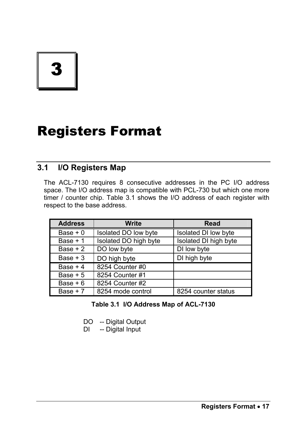3

# Registers Format

#### **3.1 I/O Registers Map**

The ACL-7130 requires 8 consecutive addresses in the PC I/O address space. The I/O address map is compatible with PCL-730 but which one more timer / counter chip. Table 3.1 shows the I/O address of each register with respect to the base address.

| <b>Address</b> | Write                 | Read                  |
|----------------|-----------------------|-----------------------|
| Base $+0$      | Isolated DO low byte  | Isolated DI low byte  |
| Base $+1$      | Isolated DO high byte | Isolated DI high byte |
| Base $+2$      | DO low byte           | DI low byte           |
| Base $+3$      | DO high byte          | DI high byte          |
| Base $+4$      | 8254 Counter #0       |                       |
| Base $+5$      | 8254 Counter #1       |                       |
| Base $+6$      | 8254 Counter #2       |                       |
| Base $+7$      | 8254 mode control     | 8254 counter status   |

#### **Table 3.1 I/O Address Map of ACL-7130**

DO -- Digital Output

DI -- Digital Input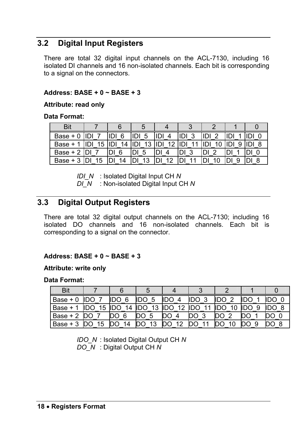#### **3.2 Digital Input Registers**

There are total 32 digital input channels on the ACL-7130, including 16 isolated DI channels and 16 non-isolated channels. Each bit is corresponding to a signal on the connectors.

#### **Address: BASE + 0 ~ BASE + 3**

#### **Attribute: read only**

#### **Data Format:**

| Bit        |    |    |          |           |          |          |   |  |
|------------|----|----|----------|-----------|----------|----------|---|--|
| $Base + 0$ |    | 6  | IDI<br>5 | 4         | IDI<br>ົ | IDI<br>ົ |   |  |
| Base +     | 15 | 14 | 13       | 12<br>IDI | IDI      |          | 9 |  |
| Base $+2$  |    | 6  | 5        |           | າ        | ີ        |   |  |
| Base $+3$  | 15 | 14 | 13       | 10        |          |          | a |  |

*IDI\_N* : Isolated Digital Input CH *N*

*DI\_N* : Non-isolated Digital Input CH *N* 

#### **3.3 Digital Output Registers**

There are total 32 digital output channels on the ACL-7130; including 16 isolated DO channels and 16 non-isolated channels. Each bit is corresponding to a signal on the connector.

#### **Address: BASE + 0 ~ BASE + 3**

#### **Attribute: write only**

#### **Data Format:**

| Bit        |    |                  |                  |                                 |                 |     |     |    |
|------------|----|------------------|------------------|---------------------------------|-----------------|-----|-----|----|
| Base $+0$  |    | 6<br>IDO         | 5                | <b>IDO</b><br>4                 | <b>IDO</b><br>ີ | ົ   | Ш   |    |
| Base +     | 15 | 14<br><b>IDO</b> | <b>IDO</b><br>13 | <b>IDO</b><br>$12 \overline{ }$ | <b>IDO</b>      | ∩חו | IDO | -8 |
| Base $+2$  |    | 6                | 5                |                                 | ົ               | ົ   |     |    |
| $Base + 3$ | 15 | 14               | 13               | 12                              | 44              |     | 9   |    |

*IDO\_N* : Isolated Digital Output CH *N DO\_N* : Digital Output CH *N*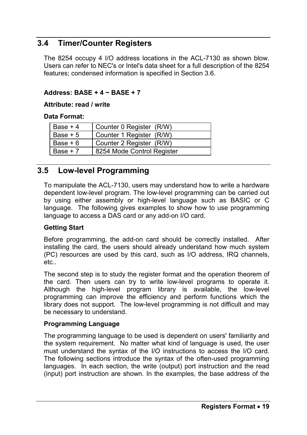#### **3.4 Timer/Counter Registers**

The 8254 occupy 4 I/O address locations in the ACL-7130 as shown blow. Users can refer to NEC's or Intel's data sheet for a full description of the 8254 features; condensed information is specified in Section 3.6.

#### **Address: BASE + 4 ~ BASE + 7**

#### **Attribute: read / write**

**Data Format:** 

| Base $+4$ | Counter 0 Register (R/W)   |
|-----------|----------------------------|
| Base $+5$ | Counter 1 Register (R/W)   |
| Base $+6$ | Counter 2 Register (R/W)   |
| Base $+7$ | 8254 Mode Control Register |

#### **3.5 Low-level Programming**

To manipulate the ACL-7130, users may understand how to write a hardware dependent low-level program. The low-level programming can be carried out by using either assembly or high-level language such as BASIC or C language. The following gives examples to show how to use programming language to access a DAS card or any add-on I/O card.

#### **Getting Start**

Before programming, the add-on card should be correctly installed. After installing the card, the users should already understand how much system (PC) resources are used by this card, such as I/O address, IRQ channels, etc..

The second step is to study the register format and the operation theorem of the card. Then users can try to write low-level programs to operate it. Although the high-level program library is available, the low-level programming can improve the efficiency and perform functions which the library does not support. The low-level programming is not difficult and may be necessary to understand.

#### **Programming Language**

The programming language to be used is dependent on users' familiarity and the system requirement. No matter what kind of language is used, the user must understand the syntax of the I/O instructions to access the I/O card. The following sections introduce the syntax of the often-used programming languages. In each section, the write (output) port instruction and the read (input) port instruction are shown. In the examples, the base address of the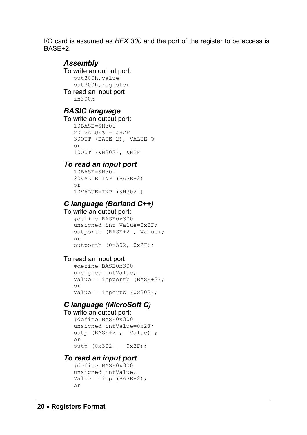I/O card is assumed as *HEX 300* and the port of the register to be access is BASE+2.

#### *Assembly*

To write an output port: out300h,value out300h, register To read an input port

in300h

#### *BASIC language*

To write an output port:

```
10BASE=&H300 
20 \text{ VATJIRE} = \text{AH2F}30OUT (BASE+2), VALUE % 
or 
10OUT (&H302), &H2F
```
#### *To read an input port*

```
10BASE=&H300 
20VALUE=INP (BASE+2) 
or 
10VALUE=INP (&H302 )
```
#### *C language (Borland C++)*

To write an output port:

```
#define BASE0x300 
unsigned int Value=0x2F; 
outportb (BASE+2 , Value); 
or 
outportb (0x302, 0x2F);
```
#### To read an input port

```
#define BASE0x300 
unsigned intValue; 
Value = inpportb (BASE+2);
or 
Value = inportb (0x302);
```
#### *C language (MicroSoft C)*

To write an output port:

```
#define BASE0x300 
unsigned intValue=0x2F; 
outp (BASE+2 , Value) ; 
or 
outp (0x302 , 0x2F);
```
#### *To read an input port*

```
#define BASE0x300 
unsigned intValue; 
Value = inp (BASE+2);
or
```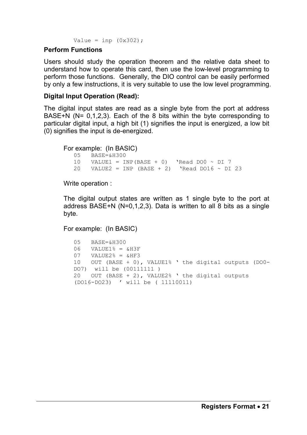Value = inp  $(0x302)$ ;

#### **Perform Functions**

Users should study the operation theorem and the relative data sheet to understand how to operate this card, then use the low-level programming to perform those functions. Generally, the DIO control can be easily performed by only a few instructions, it is very suitable to use the low level programming.

#### **Digital Input Operation (Read):**

The digital input states are read as a single byte from the port at address BASE+N (N= 0,1,2,3). Each of the 8 bits within the byte corresponding to particular digital input, a high bit (1) signifies the input is energized, a low bit (0) signifies the input is de-energized.

For example: (In BASIC)

05 BASE=&H300 10 VALUE1 = INP(BASE + 0) 'Read DO0  $\sim$  DI 7 20 VALUE2 = INP (BASE + 2) 'Read DO16  $\sim$  DI 23

Write operation :

The digital output states are written as 1 single byte to the port at address BASE+N (N=0,1,2,3). Data is written to all 8 bits as a single byte.

For example: (In BASIC)

```
05 BASE=&H300 
06 VALUE1% = &H3F
07 VALUE2% = &HF3
10 OUT (BASE + 0), VALUE1% ' the digital outputs (DO0-
DO7) will be (00111111 ) 
20 OUT (BASE + 2), VALUE2% ' the digital outputs 
(DO16-DO23) ' will be ( 11110011)
```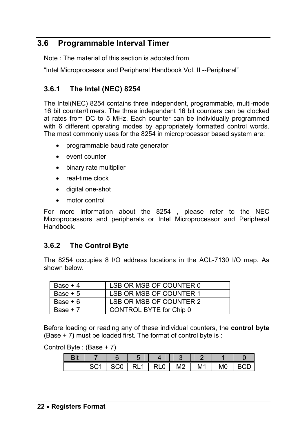#### **3.6 Programmable Interval Timer**

Note : The material of this section is adopted from

"Intel Microprocessor and Peripheral Handbook Vol. II --Peripheral"

#### **3.6.1 The Intel (NEC) 8254**

The Intel(NEC) 8254 contains three independent, programmable, multi-mode 16 bit counter/timers. The three independent 16 bit counters can be clocked at rates from DC to 5 MHz. Each counter can be individually programmed with 6 different operating modes by appropriately formatted control words. The most commonly uses for the 8254 in microprocessor based system are:

- programmable baud rate generator
- event counter
- binary rate multiplier
- real-time clock
- digital one-shot
- motor control

For more information about the 8254 , please refer to the NEC Microprocessors and peripherals or Intel Microprocessor and Peripheral **Handbook** 

#### **3.6.2 The Control Byte**

The 8254 occupies 8 I/O address locations in the ACL-7130 I/O map. As shown below.

| Base $+4$ | LSB OR MSB OF COUNTER 0 |
|-----------|-------------------------|
| Base $+5$ | LSB OR MSB OF COUNTER 1 |
| Base + 6  | LSB OR MSB OF COUNTER 2 |
| Base $+7$ | CONTROL BYTE for Chip 0 |

Before loading or reading any of these individual counters, the **control byte**  (Base + 7**)** must be loaded first. The format of control byte is :

Control Byte : (Base + 7)

| ב: רו<br>79 N. |        |        |     |           |                |    |                |  |
|----------------|--------|--------|-----|-----------|----------------|----|----------------|--|
|                | $\sim$ | $\sim$ | וכו | १LO<br>וס | M <sub>2</sub> | М1 | M <sub>0</sub> |  |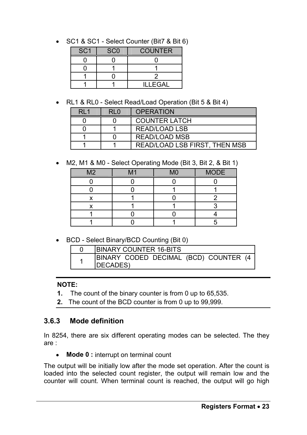• SC1 & SC1 - Select Counter (Bit7 & Bit 6)

| SC <sub>1</sub> | SC <sub>0</sub> | <b>COUNTER</b> |  |
|-----------------|-----------------|----------------|--|
|                 |                 |                |  |
|                 |                 |                |  |
|                 |                 |                |  |
|                 |                 | ILLEGAL        |  |

• RL1 & RL0 - Select Read/Load Operation (Bit 5 & Bit 4)

| $R1$ 1 | R10 | <b>OPERATION</b>              |
|--------|-----|-------------------------------|
|        |     | <b>COUNTER LATCH</b>          |
|        |     | READ/LOAD LSB                 |
|        |     | READ/LOAD MSB                 |
|        |     | READ/LOAD LSB FIRST, THEN MSB |

• M2, M1 & M0 - Select Operating Mode (Bit 3, Bit 2, & Bit 1)

| M2 | M <sub>1</sub> | M <sub>0</sub> | <b>MODE</b> |
|----|----------------|----------------|-------------|
|    |                |                |             |
|    |                |                |             |
|    |                |                |             |
|    |                |                |             |
|    |                |                |             |
|    |                |                |             |

• BCD - Select Binary/BCD Counting (Bit 0)

| <b>IBINARY COUNTER 16-BITS</b>                           |
|----------------------------------------------------------|
| BINARY CODED DECIMAL (BCD) COUNTER (4<br><b>IDECADES</b> |

#### **NOTE:**

- **1.** The count of the binary counter is from 0 up to 65,535.
- **2.** The count of the BCD counter is from 0 up to 99,999.

#### **3.6.3 Mode definition**

In 8254, there are six different operating modes can be selected. The they are :

• **Mode 0 :** interrupt on terminal count

The output will be initially low after the mode set operation. After the count is loaded into the selected count register, the output will remain low and the counter will count. When terminal count is reached, the output will go high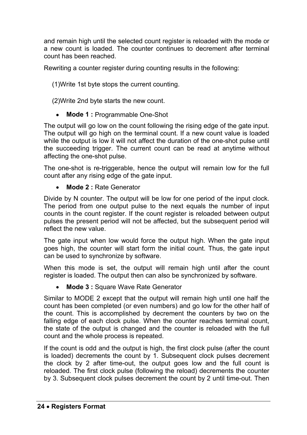and remain high until the selected count register is reloaded with the mode or a new count is loaded. The counter continues to decrement after terminal count has been reached.

Rewriting a counter register during counting results in the following:

(1)Write 1st byte stops the current counting.

(2)Write 2nd byte starts the new count.

• **Mode 1 :** Programmable One-Shot

The output will go low on the count following the rising edge of the gate input. The output will go high on the terminal count. If a new count value is loaded while the output is low it will not affect the duration of the one-shot pulse until the succeeding trigger. The current count can be read at anytime without affecting the one-shot pulse.

The one-shot is re-triggerable, hence the output will remain low for the full count after any rising edge of the gate input.

• **Mode 2 :** Rate Generator

Divide by N counter. The output will be low for one period of the input clock. The period from one output pulse to the next equals the number of input counts in the count register. If the count register is reloaded between output pulses the present period will not be affected, but the subsequent period will reflect the new value.

The gate input when low would force the output high. When the gate input goes high, the counter will start form the initial count. Thus, the gate input can be used to synchronize by software.

When this mode is set, the output will remain high until after the count register is loaded. The output then can also be synchronized by software.

• **Mode 3 :** Square Wave Rate Generator

Similar to MODE 2 except that the output will remain high until one half the count has been completed (or even numbers) and go low for the other half of the count. This is accomplished by decrement the counters by two on the falling edge of each clock pulse. When the counter reaches terminal count, the state of the output is changed and the counter is reloaded with the full count and the whole process is repeated.

If the count is odd and the output is high, the first clock pulse (after the count is loaded) decrements the count by 1. Subsequent clock pulses decrement the clock by 2 after time-out, the output goes low and the full count is reloaded. The first clock pulse (following the reload) decrements the counter by 3. Subsequent clock pulses decrement the count by 2 until time-out. Then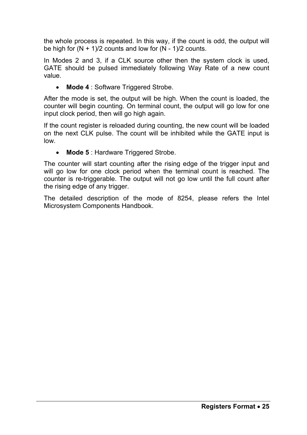the whole process is repeated. In this way, if the count is odd, the output will be high for  $(N + 1)/2$  counts and low for  $(N - 1)/2$  counts.

In Modes 2 and 3, if a CLK source other then the system clock is used, GATE should be pulsed immediately following Way Rate of a new count value.

• **Mode 4** : Software Triggered Strobe.

After the mode is set, the output will be high. When the count is loaded, the counter will begin counting. On terminal count, the output will go low for one input clock period, then will go high again.

If the count register is reloaded during counting, the new count will be loaded on the next CLK pulse. The count will be inhibited while the GATE input is low.

**Mode 5** : Hardware Triggered Strobe.

The counter will start counting after the rising edge of the trigger input and will go low for one clock period when the terminal count is reached. The counter is re-triggerable. The output will not go low until the full count after the rising edge of any trigger.

The detailed description of the mode of 8254, please refers the Intel Microsystem Components Handbook.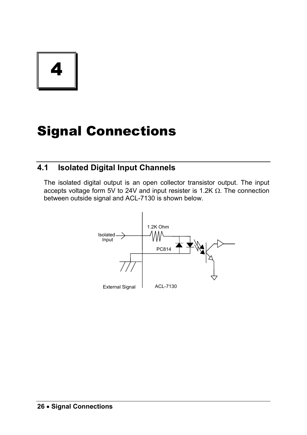4

# Signal Connections

#### **4.1 Isolated Digital Input Channels**

The isolated digital output is an open collector transistor output. The input accepts voltage form 5V to 24V and input resister is 1.2K  $\Omega$ . The connection between outside signal and ACL-7130 is shown below.

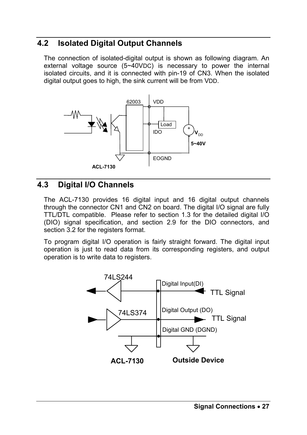#### **4.2 Isolated Digital Output Channels**

The connection of isolated-digital output is shown as following diagram. An external voltage source (5~40VDC) is necessary to power the internal isolated circuits, and it is connected with pin-19 of CN3. When the isolated digital output goes to high, the sink current will be from VDD.



#### **4.3 Digital I/O Channels**

The ACL-7130 provides 16 digital input and 16 digital output channels through the connector CN1 and CN2 on board. The digital I/O signal are fully TTL/DTL compatible. Please refer to section 1.3 for the detailed digital I/O (DIO) signal specification, and section 2.9 for the DIO connectors, and section 3.2 for the registers format.

To program digital I/O operation is fairly straight forward. The digital input operation is just to read data from its corresponding registers, and output operation is to write data to registers.

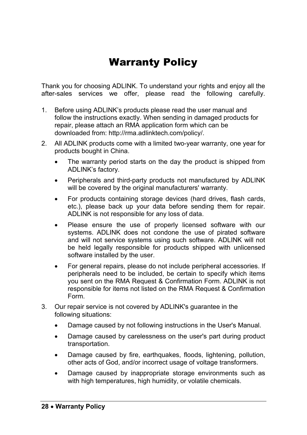## Warranty Policy

Thank you for choosing ADLINK. To understand your rights and enjoy all the after-sales services we offer, please read the following carefully.

- 1. Before using ADLINK's products please read the user manual and follow the instructions exactly. When sending in damaged products for repair, please attach an RMA application form which can be downloaded from: http://rma.adlinktech.com/policy/.
- 2. All ADLINK products come with a limited two-year warranty, one year for products bought in China.
	- The warranty period starts on the day the product is shipped from ADLINK's factory.
	- Peripherals and third-party products not manufactured by ADLINK will be covered by the original manufacturers' warranty.
	- For products containing storage devices (hard drives, flash cards, etc.), please back up your data before sending them for repair. ADLINK is not responsible for any loss of data.
	- Please ensure the use of properly licensed software with our systems. ADLINK does not condone the use of pirated software and will not service systems using such software. ADLINK will not be held legally responsible for products shipped with unlicensed software installed by the user.
	- For general repairs, please do not include peripheral accessories. If peripherals need to be included, be certain to specify which items you sent on the RMA Request & Confirmation Form. ADLINK is not responsible for items not listed on the RMA Request & Confirmation Form.
- 3. Our repair service is not covered by ADLINK's guarantee in the following situations:
	- Damage caused by not following instructions in the User's Manual.
	- Damage caused by carelessness on the user's part during product transportation.
	- Damage caused by fire, earthquakes, floods, lightening, pollution, other acts of God, and/or incorrect usage of voltage transformers.
	- Damage caused by inappropriate storage environments such as with high temperatures, high humidity, or volatile chemicals.